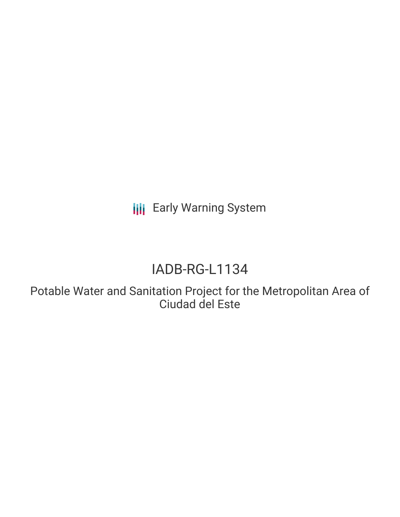**III** Early Warning System

# IADB-RG-L1134

Potable Water and Sanitation Project for the Metropolitan Area of Ciudad del Este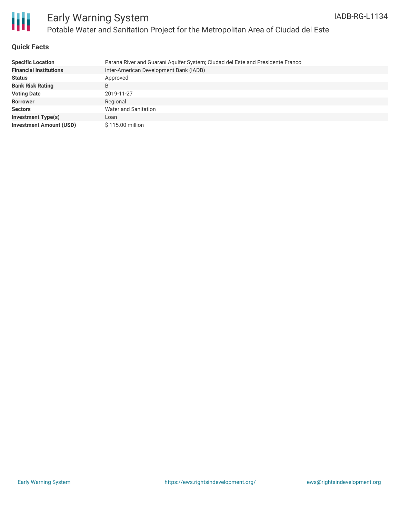

### **Quick Facts**

| <b>Specific Location</b>       | Paraná River and Guaraní Aquifer System; Ciudad del Este and Presidente Franco |
|--------------------------------|--------------------------------------------------------------------------------|
| <b>Financial Institutions</b>  | Inter-American Development Bank (IADB)                                         |
| <b>Status</b>                  | Approved                                                                       |
| <b>Bank Risk Rating</b>        | B                                                                              |
| <b>Voting Date</b>             | 2019-11-27                                                                     |
| <b>Borrower</b>                | Regional                                                                       |
| <b>Sectors</b>                 | Water and Sanitation                                                           |
| <b>Investment Type(s)</b>      | Loan                                                                           |
| <b>Investment Amount (USD)</b> | \$115.00 million                                                               |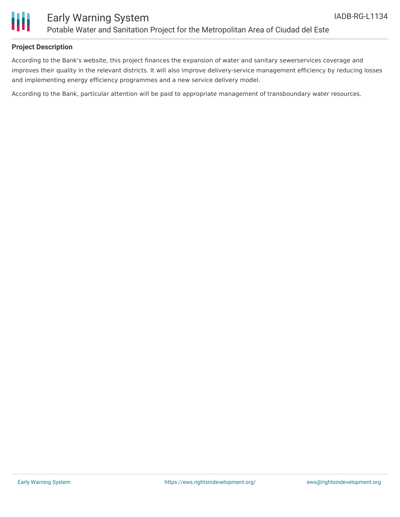

### **Project Description**

According to the Bank's website, this project finances the expansion of water and sanitary sewerservices coverage and improves their quality in the relevant districts. It will also improve delivery-service management efficiency by reducing losses and implementing energy efficiency programmes and a new service delivery model.

According to the Bank, particular attention will be paid to appropriate management of transboundary water resources.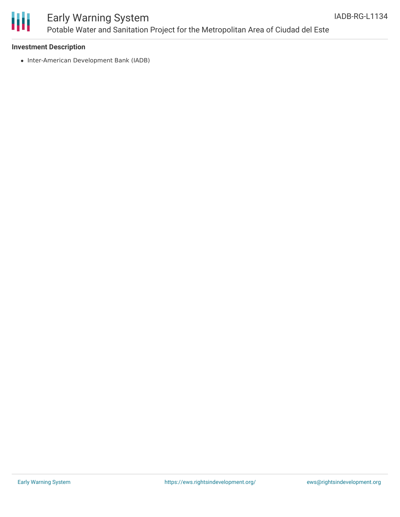

# Early Warning System Potable Water and Sanitation Project for the Metropolitan Area of Ciudad del Este

#### **Investment Description**

• Inter-American Development Bank (IADB)